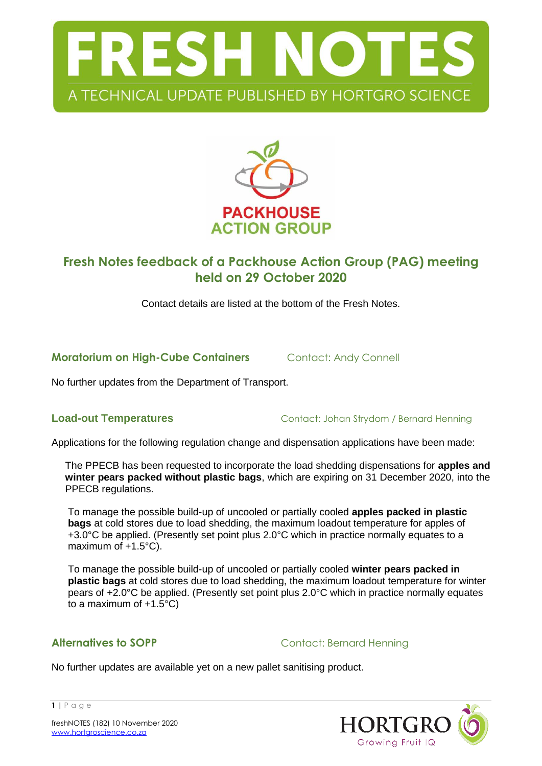



# **Fresh Notes feedback of a Packhouse Action Group (PAG) meeting held on 29 October 2020**

Contact details are listed at the bottom of the Fresh Notes.

**Moratorium on High-Cube Containers Contact: Andy Connell** 

No further updates from the Department of Transport.

**Load-out Temperatures** Contact: Johan Strydom / Bernard Henning

Applications for the following regulation change and dispensation applications have been made:

The PPECB has been requested to incorporate the load shedding dispensations for **apples and winter pears packed without plastic bags**, which are expiring on 31 December 2020, into the PPECB regulations.

To manage the possible build-up of uncooled or partially cooled **apples packed in plastic bags** at cold stores due to load shedding, the maximum loadout temperature for apples of +3.0°C be applied. (Presently set point plus 2.0°C which in practice normally equates to a maximum of +1.5°C).

To manage the possible build-up of uncooled or partially cooled **winter pears packed in plastic bags** at cold stores due to load shedding, the maximum loadout temperature for winter pears of +2.0°C be applied. (Presently set point plus 2.0°C which in practice normally equates to a maximum of  $+1.5^{\circ}$ C)

**Alternatives to SOPP** Contact: Bernard Henning

No further updates are available yet on a new pallet sanitising product.



**1 |** P a g e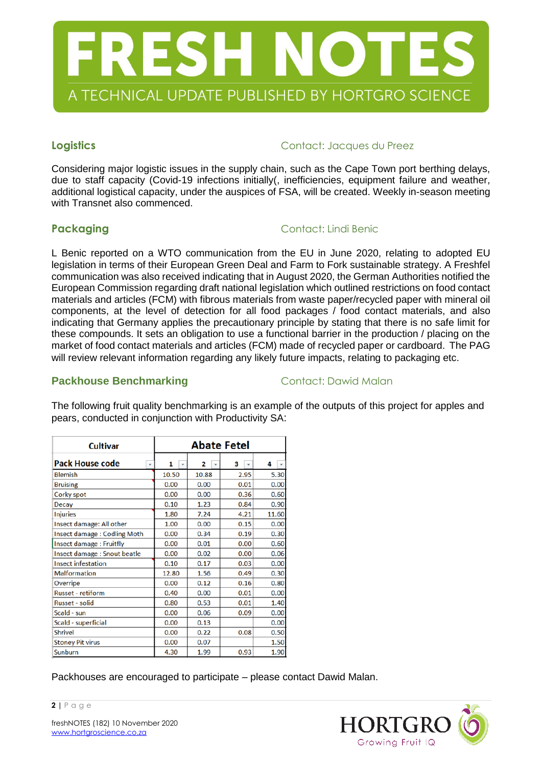

### **Logistics Contact: Jacques du Preez**

Considering major logistic issues in the supply chain, such as the Cape Town port berthing delays, due to staff capacity (Covid-19 infections initially(, inefficiencies, equipment failure and weather, additional logistical capacity, under the auspices of FSA, will be created. Weekly in-season meeting with Transnet also commenced.

## **Packaging Contact: Lindi Benic**

L Benic reported on a WTO communication from the EU in June 2020, relating to adopted EU legislation in terms of their European Green Deal and Farm to Fork sustainable strategy. A Freshfel communication was also received indicating that in August 2020, the German Authorities notified the European Commission regarding draft national legislation which outlined restrictions on food contact materials and articles (FCM) with fibrous materials from waste paper/recycled paper with mineral oil components, at the level of detection for all food packages / food contact materials, and also indicating that Germany applies the precautionary principle by stating that there is no safe limit for these compounds. It sets an obligation to use a functional barrier in the production / placing on the market of food contact materials and articles (FCM) made of recycled paper or cardboard. The PAG will review relevant information regarding any likely future impacts, relating to packaging etc.

### **Packhouse Benchmarking Contact: Dawid Malan**

| <b>Cultivar</b>                                    | <b>Abate Fetel</b>            |                   |                   |                   |
|----------------------------------------------------|-------------------------------|-------------------|-------------------|-------------------|
| <b>Pack House code</b><br>$\overline{\phantom{a}}$ | 1<br>$\overline{\phantom{a}}$ | 2<br>$\mathbf{v}$ | з<br>$\mathbf{v}$ | 4<br>$\mathbf{v}$ |
| <b>Blemish</b>                                     | 10.50                         | 10.88             | 2.95              | 5.30              |
| <b>Bruising</b>                                    | 0.00                          | 0.00              | 0.01              | 0.00              |
| Corky spot                                         | 0.00                          | 0.00              | 0.36              | 0.60              |
| <b>Decay</b>                                       | 0.10                          | 1.23              | 0.84              | 0.90              |
| <b>Injuries</b>                                    | 1.80                          | 7.24              | 4.21              | 11.60             |
| Insect damage: All other                           | 1.00                          | 0.00              | 0.15              | 0.00              |
| Insect damage: Codling Moth                        | 0.00                          | 0.34              | 0.19              | 0.30              |
| Insect damage: Fruitfly                            | 0.00                          | 0.01              | 0.00              | 0.60              |
| Insect damage : Snout beatle                       | 0.00                          | 0.02              | 0.00              | 0.06              |
| <b>Insect infestation</b>                          | 0.10                          | 0.17              | 0.03              | 0.00              |
| <b>Malformation</b>                                | 12.80                         | 1.56              | 0.49              | 0.30              |
| Overripe                                           | 0.00                          | 0.12              | 0.16              | 0.80              |
| <b>Russet</b> - retiform                           | 0.40                          | 0.00              | 0.01              | 0.00              |
| <b>Russet - solid</b>                              | 0.80                          | 0.53              | 0.01              | 1.40              |
| Scald - sun                                        | 0.00                          | 0.06              | 0.09              | 0.00              |
| Scald - superficial                                | 0.00                          | 0.13              |                   | 0.00              |
| <b>Shrivel</b>                                     | 0.00                          | 0.22              | 0.08              | 0.50              |
| <b>Stoney Pit virus</b>                            | 0.00                          | 0.07              |                   | 1.50              |
| Sunburn                                            | 4.30                          | 1.99              | 0.93              | 1.90              |

The following fruit quality benchmarking is an example of the outputs of this project for apples and pears, conducted in conjunction with Productivity SA:

Packhouses are encouraged to participate – please contact Dawid Malan.



**2 |** P a g e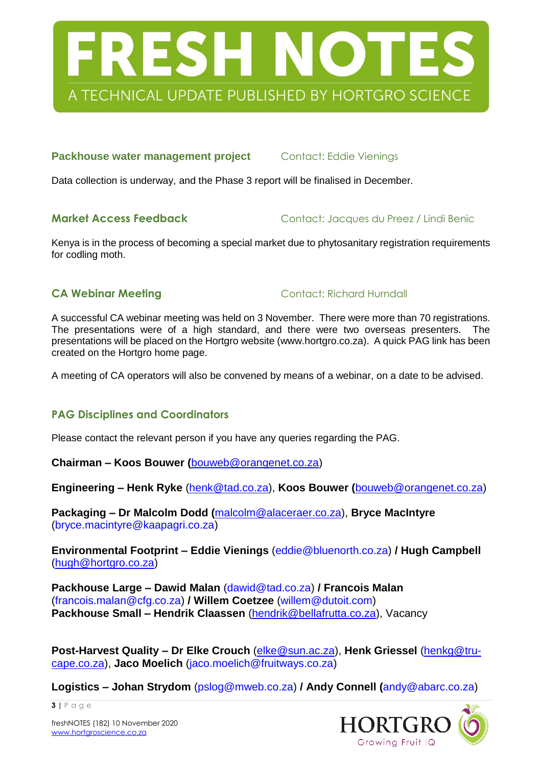

### **Packhouse water management project** Contact: Eddie Vienings

Data collection is underway, and the Phase 3 report will be finalised in December.

**Market Access Feedback** Contact: Jacques du Preez / Lindi Benic

Kenya is in the process of becoming a special market due to phytosanitary registration requirements for codling moth.

**CA Webinar Meeting CONTACT: Richard Hurndall** 

A successful CA webinar meeting was held on 3 November. There were more than 70 registrations. The presentations were of a high standard, and there were two overseas presenters. The presentations will be placed on the Hortgro website (www.hortgro.co.za). A quick PAG link has been created on the Hortgro home page.

A meeting of CA operators will also be convened by means of a webinar, on a date to be advised.

## **PAG Disciplines and Coordinators**

Please contact the relevant person if you have any queries regarding the PAG.

**Chairman – Koos Bouwer (**[bouweb@orangenet.co.za\)](mailto:bouweb@orangenet.co.za)

**Engineering – Henk Ryke** [\(henk@tad.co.za\)](mailto:henk@tad.co.za), **Koos Bouwer (**[bouweb@orangenet.co.za\)](mailto:bouweb@orangenet.co.za)

**Packaging – Dr Malcolm Dodd (**[malcolm@alaceraer.co.za\)](mailto:malcolm@alaceraer.co.za), **Bryce MacIntyre** (bryce.macintyre@kaapagri.co.za)

**Environmental Footprint – Eddie Vienings** (eddie@bluenorth.co.za) **/ Hugh Campbell** [\(hugh@hortgro.co.za\)](mailto:hugh@hortgro.co.za)

**Packhouse Large – Dawid Malan** (dawid@tad.co.za) **/ Francois Malan** (francois.malan@cfg.co.za) **/ Willem Coetzee** [\(willem@dutoit.com\)](mailto:willem@dutoit.com) **Packhouse Small – Hendrik Claassen** [\(hendrik@bellafrutta.co.za\)](mailto:hendrik@bellafrutta.co.za), Vacancy

**Post-Harvest Quality – Dr Elke Crouch** [\(elke@sun.ac.za\)](mailto:elke@sun.ac.za), **Henk Griessel** [\(henkg@tru](mailto:henkg@tru-cape.co.za)[cape.co.za\)](mailto:henkg@tru-cape.co.za), **Jaco Moelich** (jaco.moelich@fruitways.co.za)

**Logistics – Johan Strydom** (pslog@mweb.co.za) **/ Andy Connell (**andy@abarc.co.za)



freshNOTES (182) 10 November 2020 [www.hortgroscience.co.za](http://www.hortgroscience.co.za/)

**3 |** P a g e